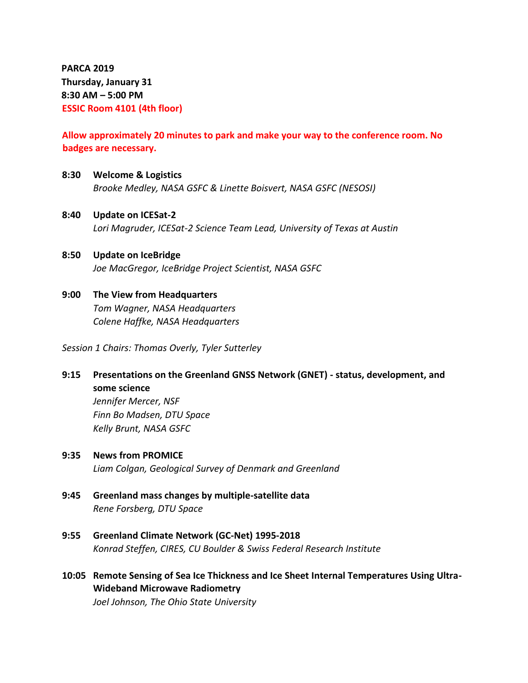**PARCA 2019 Thursday, January 31 8:30 AM – 5:00 PM ESSIC Room 4101 (4th floor)**

## **Allow approximately 20 minutes to park and make your way to the conference room. No badges are necessary.**

**8:30 Welcome & Logistics**

*Brooke Medley, NASA GSFC & Linette Boisvert, NASA GSFC (NESOSI)*

- **8:40 Update on ICESat-2** *Lori Magruder, ICESat-2 Science Team Lead, University of Texas at Austin*
- **8:50 Update on IceBridge** *Joe MacGregor, IceBridge Project Scientist, NASA GSFC*
- **9:00 The View from Headquarters** *Tom Wagner, NASA Headquarters Colene Haffke, NASA Headquarters*

*Session 1 Chairs: Thomas Overly, Tyler Sutterley*

**9:15 Presentations on the Greenland GNSS Network (GNET) - status, development, and some science**

*Jennifer Mercer, NSF Finn Bo Madsen, DTU Space Kelly Brunt, NASA GSFC*

**9:35 News from PROMICE**

*Liam Colgan, Geological Survey of Denmark and Greenland*

- **9:45 Greenland mass changes by multiple-satellite data** *Rene Forsberg, DTU Space*
- **9:55 Greenland Climate Network (GC-Net) 1995-2018** *Konrad Steffen, CIRES, CU Boulder & Swiss Federal Research Institute*
- **10:05 Remote Sensing of Sea Ice Thickness and Ice Sheet Internal Temperatures Using Ultra-Wideband Microwave Radiometry** *Joel Johnson, The Ohio State University*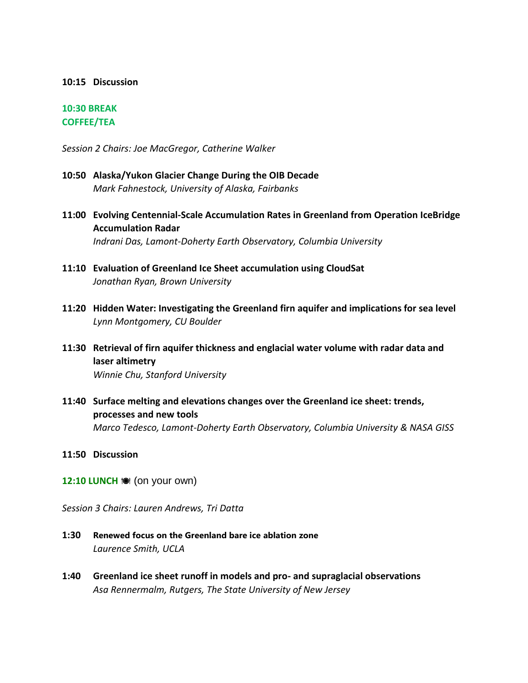#### **10:15 Discussion**

### **10:30 BREAK COFFEE/TEA**

*Session 2 Chairs: Joe MacGregor, Catherine Walker*

- **10:50 Alaska/Yukon Glacier Change During the OIB Decade** *Mark Fahnestock, University of Alaska, Fairbanks*
- **11:00 Evolving Centennial-Scale Accumulation Rates in Greenland from Operation IceBridge Accumulation Radar** *Indrani Das, Lamont-Doherty Earth Observatory, Columbia University*
- **11:10 Evaluation of Greenland Ice Sheet accumulation using CloudSat** *Jonathan Ryan, Brown University*
- **11:20 Hidden Water: Investigating the Greenland firn aquifer and implications for sea level** *Lynn Montgomery, CU Boulder*
- **11:30 Retrieval of firn aquifer thickness and englacial water volume with radar data and laser altimetry** *Winnie Chu, Stanford University*
- **11:40 Surface melting and elevations changes over the Greenland ice sheet: trends, processes and new tools** *Marco Tedesco, Lamont-Doherty Earth Observatory, Columbia University & NASA GISS*
- **11:50 Discussion**
- **12:10 LUNCH**  $\textcircled{\textcircled{\textcirc}}$  **(on your own)**

*Session 3 Chairs: Lauren Andrews, Tri Datta*

- **1:30 Renewed focus on the Greenland bare ice ablation zone** *Laurence Smith, UCLA*
- **1:40 Greenland ice sheet runoff in models and pro- and supraglacial observations** *Asa Rennermalm, Rutgers, The State University of New Jersey*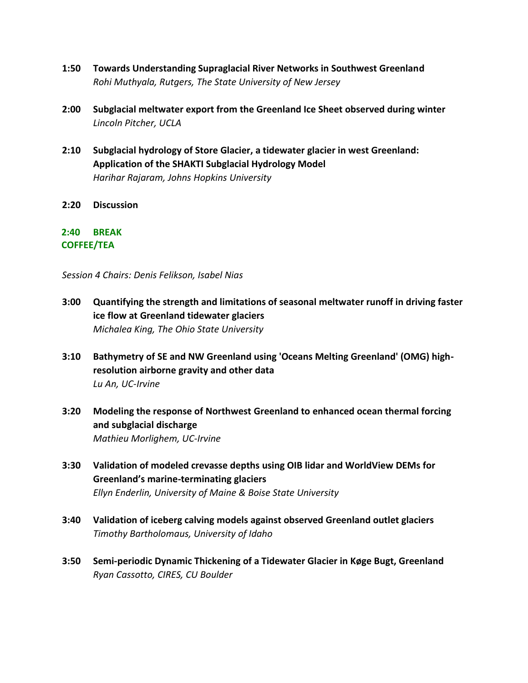- **1:50 Towards Understanding Supraglacial River Networks in Southwest Greenland** *Rohi Muthyala, Rutgers, The State University of New Jersey*
- **2:00 Subglacial meltwater export from the Greenland Ice Sheet observed during winter** *Lincoln Pitcher, UCLA*
- **2:10 Subglacial hydrology of Store Glacier, a tidewater glacier in west Greenland: Application of the SHAKTI Subglacial Hydrology Model** *Harihar Rajaram, Johns Hopkins University*
- **2:20 Discussion**

### **2:40 BREAK COFFEE/TEA**

*Session 4 Chairs: Denis Felikson, Isabel Nias*

- **3:00 Quantifying the strength and limitations of seasonal meltwater runoff in driving faster ice flow at Greenland tidewater glaciers** *Michalea King, The Ohio State University*
- **3:10 Bathymetry of SE and NW Greenland using 'Oceans Melting Greenland' (OMG) highresolution airborne gravity and other data** *Lu An, UC-Irvine*
- **3:20 Modeling the response of Northwest Greenland to enhanced ocean thermal forcing and subglacial discharge** *Mathieu Morlighem, UC-Irvine*
- **3:30 Validation of modeled crevasse depths using OIB lidar and WorldView DEMs for Greenland's marine-terminating glaciers** *Ellyn Enderlin, University of Maine & Boise State University*
- **3:40 Validation of iceberg calving models against observed Greenland outlet glaciers** *Timothy Bartholomaus, University of Idaho*
- **3:50 Semi-periodic Dynamic Thickening of a Tidewater Glacier in Køge Bugt, Greenland** *Ryan Cassotto, CIRES, CU Boulder*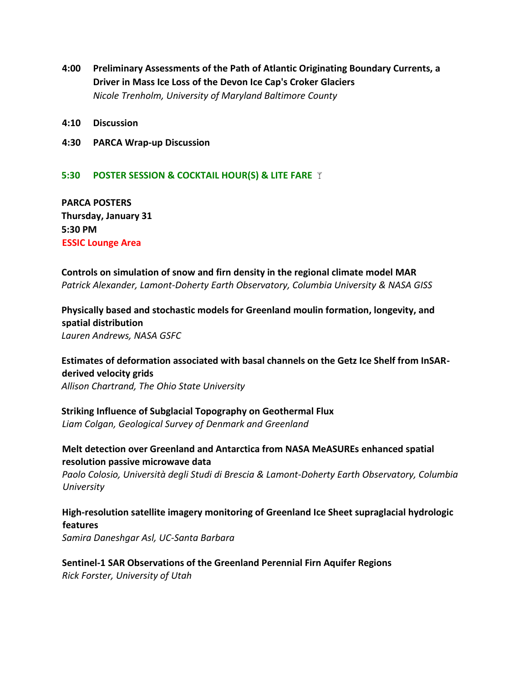- **4:00 Preliminary Assessments of the Path of Atlantic Originating Boundary Currents, a Driver in Mass Ice Loss of the Devon Ice Cap's Croker Glaciers** *Nicole Trenholm, University of Maryland Baltimore County*
- **4:10 Discussion**
- **4:30 PARCA Wrap-up Discussion**

### **5:30 POSTER SESSION & COCKTAIL HOUR(S) & LITE FARE**

**PARCA POSTERS Thursday, January 31 5:30 PM ESSIC Lounge Area**

### **Controls on simulation of snow and firn density in the regional climate model MAR** *Patrick Alexander, Lamont-Doherty Earth Observatory, Columbia University & NASA GISS*

## **Physically based and stochastic models for Greenland moulin formation, longevity, and spatial distribution**

*Lauren Andrews, NASA GSFC*

# **Estimates of deformation associated with basal channels on the Getz Ice Shelf from InSARderived velocity grids**

*Allison Chartrand, The Ohio State University*

### **Striking Influence of Subglacial Topography on Geothermal Flux**

*Liam Colgan, Geological Survey of Denmark and Greenland*

### **Melt detection over Greenland and Antarctica from NASA MeASUREs enhanced spatial resolution passive microwave data**

*Paolo Colosio, Università degli Studi di Brescia & Lamont-Doherty Earth Observatory, Columbia University*

### **High-resolution satellite imagery monitoring of Greenland Ice Sheet supraglacial hydrologic features** *Samira Daneshgar Asl, UC-Santa Barbara*

### **Sentinel-1 SAR Observations of the Greenland Perennial Firn Aquifer Regions** *Rick Forster, University of Utah*